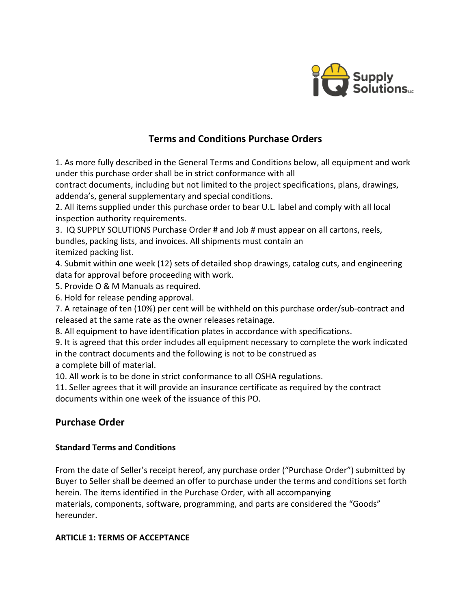

# **Terms and Conditions Purchase Orders**

1. As more fully described in the General Terms and Conditions below, all equipment and work under this purchase order shall be in strict conformance with all

contract documents, including but not limited to the project specifications, plans, drawings, addenda's, general supplementary and special conditions.

2. All items supplied under this purchase order to bear U.L. label and comply with all local inspection authority requirements.

3. IQ SUPPLY SOLUTIONS Purchase Order # and Job # must appear on all cartons, reels, bundles, packing lists, and invoices. All shipments must contain an itemized packing list.

4. Submit within one week (12) sets of detailed shop drawings, catalog cuts, and engineering data for approval before proceeding with work.

5. Provide O & M Manuals as required.

6. Hold for release pending approval.

7. A retainage of ten (10%) per cent will be withheld on this purchase order/sub-contract and released at the same rate as the owner releases retainage.

8. All equipment to have identification plates in accordance with specifications.

9. It is agreed that this order includes all equipment necessary to complete the work indicated in the contract documents and the following is not to be construed as

a complete bill of material.

10. All work is to be done in strict conformance to all OSHA regulations.

11. Seller agrees that it will provide an insurance certificate as required by the contract documents within one week of the issuance of this PO.

# **Purchase Order**

# **Standard Terms and Conditions**

From the date of Seller's receipt hereof, any purchase order ("Purchase Order") submitted by Buyer to Seller shall be deemed an offer to purchase under the terms and conditions set forth herein. The items identified in the Purchase Order, with all accompanying materials, components, software, programming, and parts are considered the "Goods" hereunder.

# **ARTICLE 1: TERMS OF ACCEPTANCE**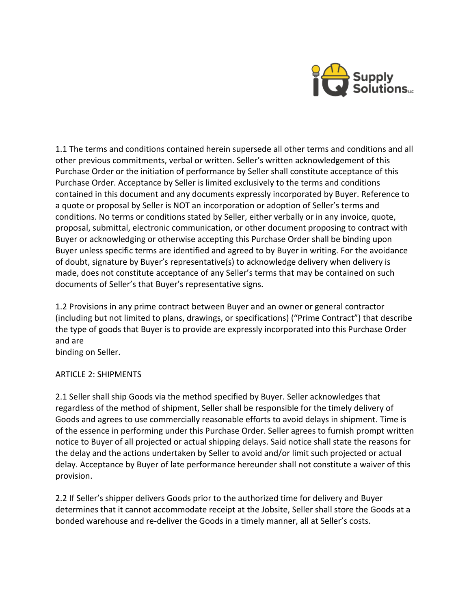

1.1 The terms and conditions contained herein supersede all other terms and conditions and all other previous commitments, verbal or written. Seller's written acknowledgement of this Purchase Order or the initiation of performance by Seller shall constitute acceptance of this Purchase Order. Acceptance by Seller is limited exclusively to the terms and conditions contained in this document and any documents expressly incorporated by Buyer. Reference to a quote or proposal by Seller is NOT an incorporation or adoption of Seller's terms and conditions. No terms or conditions stated by Seller, either verbally or in any invoice, quote, proposal, submittal, electronic communication, or other document proposing to contract with Buyer or acknowledging or otherwise accepting this Purchase Order shall be binding upon Buyer unless specific terms are identified and agreed to by Buyer in writing. For the avoidance of doubt, signature by Buyer's representative(s) to acknowledge delivery when delivery is made, does not constitute acceptance of any Seller's terms that may be contained on such documents of Seller's that Buyer's representative signs.

1.2 Provisions in any prime contract between Buyer and an owner or general contractor (including but not limited to plans, drawings, or specifications) ("Prime Contract") that describe the type of goods that Buyer is to provide are expressly incorporated into this Purchase Order and are

binding on Seller.

# ARTICLE 2: SHIPMENTS

2.1 Seller shall ship Goods via the method specified by Buyer. Seller acknowledges that regardless of the method of shipment, Seller shall be responsible for the timely delivery of Goods and agrees to use commercially reasonable efforts to avoid delays in shipment. Time is of the essence in performing under this Purchase Order. Seller agrees to furnish prompt written notice to Buyer of all projected or actual shipping delays. Said notice shall state the reasons for the delay and the actions undertaken by Seller to avoid and/or limit such projected or actual delay. Acceptance by Buyer of late performance hereunder shall not constitute a waiver of this provision.

2.2 If Seller's shipper delivers Goods prior to the authorized time for delivery and Buyer determines that it cannot accommodate receipt at the Jobsite, Seller shall store the Goods at a bonded warehouse and re-deliver the Goods in a timely manner, all at Seller's costs.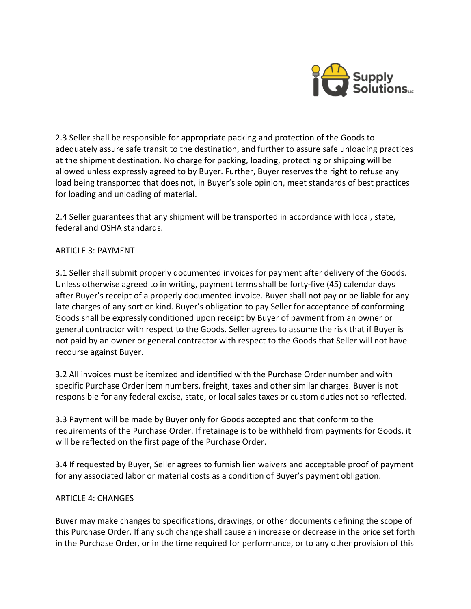

2.3 Seller shall be responsible for appropriate packing and protection of the Goods to adequately assure safe transit to the destination, and further to assure safe unloading practices at the shipment destination. No charge for packing, loading, protecting or shipping will be allowed unless expressly agreed to by Buyer. Further, Buyer reserves the right to refuse any load being transported that does not, in Buyer's sole opinion, meet standards of best practices for loading and unloading of material.

2.4 Seller guarantees that any shipment will be transported in accordance with local, state, federal and OSHA standards.

## ARTICLE 3: PAYMENT

3.1 Seller shall submit properly documented invoices for payment after delivery of the Goods. Unless otherwise agreed to in writing, payment terms shall be forty-five (45) calendar days after Buyer's receipt of a properly documented invoice. Buyer shall not pay or be liable for any late charges of any sort or kind. Buyer's obligation to pay Seller for acceptance of conforming Goods shall be expressly conditioned upon receipt by Buyer of payment from an owner or general contractor with respect to the Goods. Seller agrees to assume the risk that if Buyer is not paid by an owner or general contractor with respect to the Goods that Seller will not have recourse against Buyer.

3.2 All invoices must be itemized and identified with the Purchase Order number and with specific Purchase Order item numbers, freight, taxes and other similar charges. Buyer is not responsible for any federal excise, state, or local sales taxes or custom duties not so reflected.

3.3 Payment will be made by Buyer only for Goods accepted and that conform to the requirements of the Purchase Order. If retainage is to be withheld from payments for Goods, it will be reflected on the first page of the Purchase Order.

3.4 If requested by Buyer, Seller agrees to furnish lien waivers and acceptable proof of payment for any associated labor or material costs as a condition of Buyer's payment obligation.

## ARTICLE 4: CHANGES

Buyer may make changes to specifications, drawings, or other documents defining the scope of this Purchase Order. If any such change shall cause an increase or decrease in the price set forth in the Purchase Order, or in the time required for performance, or to any other provision of this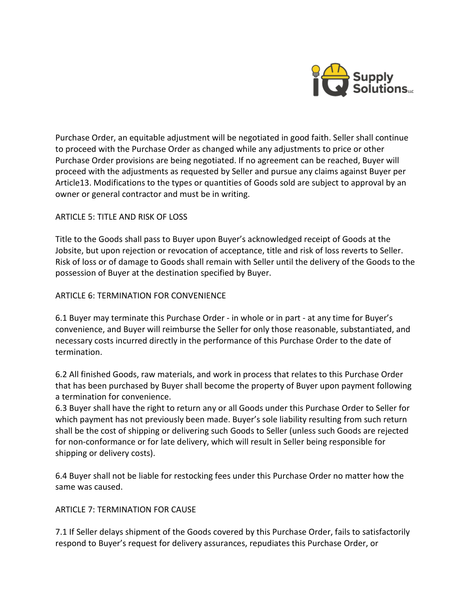

Purchase Order, an equitable adjustment will be negotiated in good faith. Seller shall continue to proceed with the Purchase Order as changed while any adjustments to price or other Purchase Order provisions are being negotiated. If no agreement can be reached, Buyer will proceed with the adjustments as requested by Seller and pursue any claims against Buyer per Article13. Modifications to the types or quantities of Goods sold are subject to approval by an owner or general contractor and must be in writing.

## ARTICLE 5: TITLE AND RISK OF LOSS

Title to the Goods shall pass to Buyer upon Buyer's acknowledged receipt of Goods at the Jobsite, but upon rejection or revocation of acceptance, title and risk of loss reverts to Seller. Risk of loss or of damage to Goods shall remain with Seller until the delivery of the Goods to the possession of Buyer at the destination specified by Buyer.

## ARTICLE 6: TERMINATION FOR CONVENIENCE

6.1 Buyer may terminate this Purchase Order - in whole or in part - at any time for Buyer's convenience, and Buyer will reimburse the Seller for only those reasonable, substantiated, and necessary costs incurred directly in the performance of this Purchase Order to the date of termination.

6.2 All finished Goods, raw materials, and work in process that relates to this Purchase Order that has been purchased by Buyer shall become the property of Buyer upon payment following a termination for convenience.

6.3 Buyer shall have the right to return any or all Goods under this Purchase Order to Seller for which payment has not previously been made. Buyer's sole liability resulting from such return shall be the cost of shipping or delivering such Goods to Seller (unless such Goods are rejected for non-conformance or for late delivery, which will result in Seller being responsible for shipping or delivery costs).

6.4 Buyer shall not be liable for restocking fees under this Purchase Order no matter how the same was caused.

## ARTICLE 7: TERMINATION FOR CAUSE

7.1 If Seller delays shipment of the Goods covered by this Purchase Order, fails to satisfactorily respond to Buyer's request for delivery assurances, repudiates this Purchase Order, or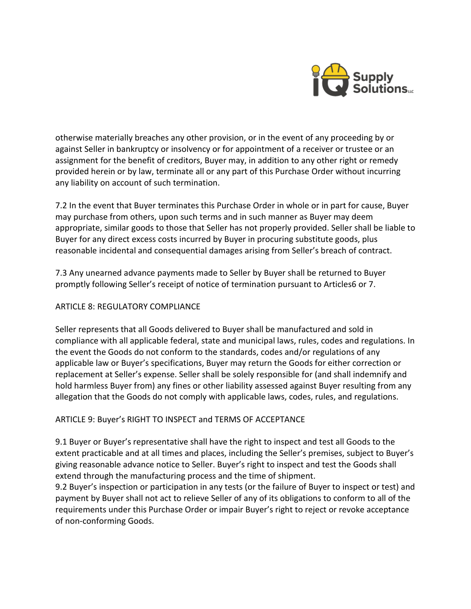

otherwise materially breaches any other provision, or in the event of any proceeding by or against Seller in bankruptcy or insolvency or for appointment of a receiver or trustee or an assignment for the benefit of creditors, Buyer may, in addition to any other right or remedy provided herein or by law, terminate all or any part of this Purchase Order without incurring any liability on account of such termination.

7.2 In the event that Buyer terminates this Purchase Order in whole or in part for cause, Buyer may purchase from others, upon such terms and in such manner as Buyer may deem appropriate, similar goods to those that Seller has not properly provided. Seller shall be liable to Buyer for any direct excess costs incurred by Buyer in procuring substitute goods, plus reasonable incidental and consequential damages arising from Seller's breach of contract.

7.3 Any unearned advance payments made to Seller by Buyer shall be returned to Buyer promptly following Seller's receipt of notice of termination pursuant to Articles6 or 7.

## ARTICLE 8: REGULATORY COMPLIANCE

Seller represents that all Goods delivered to Buyer shall be manufactured and sold in compliance with all applicable federal, state and municipal laws, rules, codes and regulations. In the event the Goods do not conform to the standards, codes and/or regulations of any applicable law or Buyer's specifications, Buyer may return the Goods for either correction or replacement at Seller's expense. Seller shall be solely responsible for (and shall indemnify and hold harmless Buyer from) any fines or other liability assessed against Buyer resulting from any allegation that the Goods do not comply with applicable laws, codes, rules, and regulations.

# ARTICLE 9: Buyer's RIGHT TO INSPECT and TERMS OF ACCEPTANCE

9.1 Buyer or Buyer's representative shall have the right to inspect and test all Goods to the extent practicable and at all times and places, including the Seller's premises, subject to Buyer's giving reasonable advance notice to Seller. Buyer's right to inspect and test the Goods shall extend through the manufacturing process and the time of shipment.

9.2 Buyer's inspection or participation in any tests (or the failure of Buyer to inspect or test) and payment by Buyer shall not act to relieve Seller of any of its obligations to conform to all of the requirements under this Purchase Order or impair Buyer's right to reject or revoke acceptance of non-conforming Goods.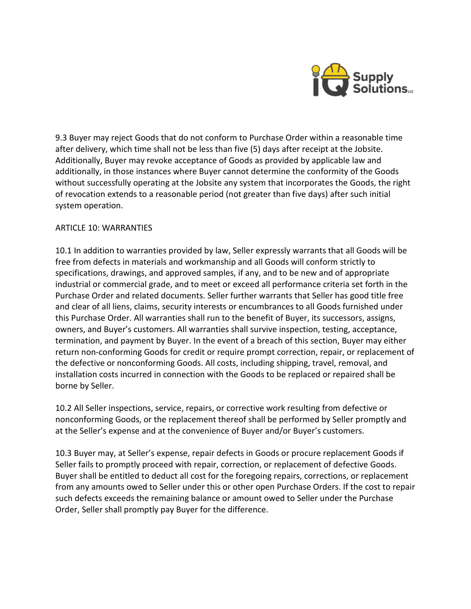

9.3 Buyer may reject Goods that do not conform to Purchase Order within a reasonable time after delivery, which time shall not be less than five (5) days after receipt at the Jobsite. Additionally, Buyer may revoke acceptance of Goods as provided by applicable law and additionally, in those instances where Buyer cannot determine the conformity of the Goods without successfully operating at the Jobsite any system that incorporates the Goods, the right of revocation extends to a reasonable period (not greater than five days) after such initial system operation.

## ARTICLE 10: WARRANTIES

10.1 In addition to warranties provided by law, Seller expressly warrants that all Goods will be free from defects in materials and workmanship and all Goods will conform strictly to specifications, drawings, and approved samples, if any, and to be new and of appropriate industrial or commercial grade, and to meet or exceed all performance criteria set forth in the Purchase Order and related documents. Seller further warrants that Seller has good title free and clear of all liens, claims, security interests or encumbrances to all Goods furnished under this Purchase Order. All warranties shall run to the benefit of Buyer, its successors, assigns, owners, and Buyer's customers. All warranties shall survive inspection, testing, acceptance, termination, and payment by Buyer. In the event of a breach of this section, Buyer may either return non-conforming Goods for credit or require prompt correction, repair, or replacement of the defective or nonconforming Goods. All costs, including shipping, travel, removal, and installation costs incurred in connection with the Goods to be replaced or repaired shall be borne by Seller.

10.2 All Seller inspections, service, repairs, or corrective work resulting from defective or nonconforming Goods, or the replacement thereof shall be performed by Seller promptly and at the Seller's expense and at the convenience of Buyer and/or Buyer's customers.

10.3 Buyer may, at Seller's expense, repair defects in Goods or procure replacement Goods if Seller fails to promptly proceed with repair, correction, or replacement of defective Goods. Buyer shall be entitled to deduct all cost for the foregoing repairs, corrections, or replacement from any amounts owed to Seller under this or other open Purchase Orders. If the cost to repair such defects exceeds the remaining balance or amount owed to Seller under the Purchase Order, Seller shall promptly pay Buyer for the difference.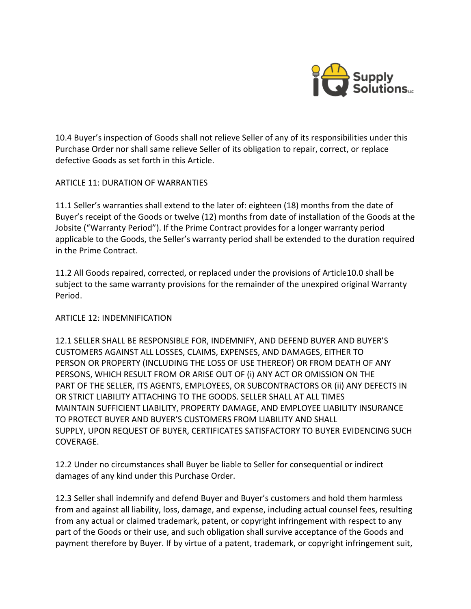

10.4 Buyer's inspection of Goods shall not relieve Seller of any of its responsibilities under this Purchase Order nor shall same relieve Seller of its obligation to repair, correct, or replace defective Goods as set forth in this Article.

## ARTICLE 11: DURATION OF WARRANTIES

11.1 Seller's warranties shall extend to the later of: eighteen (18) months from the date of Buyer's receipt of the Goods or twelve (12) months from date of installation of the Goods at the Jobsite ("Warranty Period"). If the Prime Contract provides for a longer warranty period applicable to the Goods, the Seller's warranty period shall be extended to the duration required in the Prime Contract.

11.2 All Goods repaired, corrected, or replaced under the provisions of Article10.0 shall be subject to the same warranty provisions for the remainder of the unexpired original Warranty Period.

## ARTICLE 12: INDEMNIFICATION

12.1 SELLER SHALL BE RESPONSIBLE FOR, INDEMNIFY, AND DEFEND BUYER AND BUYER'S CUSTOMERS AGAINST ALL LOSSES, CLAIMS, EXPENSES, AND DAMAGES, EITHER TO PERSON OR PROPERTY (INCLUDING THE LOSS OF USE THEREOF) OR FROM DEATH OF ANY PERSONS, WHICH RESULT FROM OR ARISE OUT OF (i) ANY ACT OR OMISSION ON THE PART OF THE SELLER, ITS AGENTS, EMPLOYEES, OR SUBCONTRACTORS OR (ii) ANY DEFECTS IN OR STRICT LIABILITY ATTACHING TO THE GOODS. SELLER SHALL AT ALL TIMES MAINTAIN SUFFICIENT LIABILITY, PROPERTY DAMAGE, AND EMPLOYEE LIABILITY INSURANCE TO PROTECT BUYER AND BUYER'S CUSTOMERS FROM LIABILITY AND SHALL SUPPLY, UPON REQUEST OF BUYER, CERTIFICATES SATISFACTORY TO BUYER EVIDENCING SUCH COVERAGE.

12.2 Under no circumstances shall Buyer be liable to Seller for consequential or indirect damages of any kind under this Purchase Order.

12.3 Seller shall indemnify and defend Buyer and Buyer's customers and hold them harmless from and against all liability, loss, damage, and expense, including actual counsel fees, resulting from any actual or claimed trademark, patent, or copyright infringement with respect to any part of the Goods or their use, and such obligation shall survive acceptance of the Goods and payment therefore by Buyer. If by virtue of a patent, trademark, or copyright infringement suit,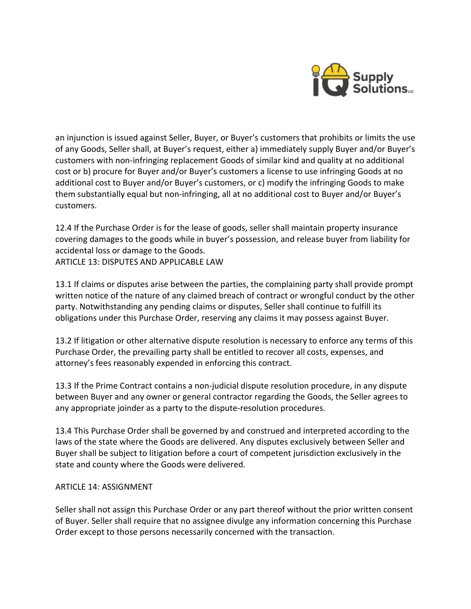

an injunction is issued against Seller, Buyer, or Buyer's customers that prohibits or limits the use of any Goods, Seller shall, at Buyer's request, either a) immediately supply Buyer and/or Buyer's customers with non-infringing replacement Goods of similar kind and quality at no additional cost or b) procure for Buyer and/or Buyer's customers a license to use infringing Goods at no additional cost to Buyer and/or Buyer's customers, or c) modify the infringing Goods to make them substantially equal but non-infringing, all at no additional cost to Buyer and/or Buyer's customers.

12.4 If the Purchase Order is for the lease of goods, seller shall maintain property insurance covering damages to the goods while in buyer's possession, and release buyer from liability for accidental loss or damage to the Goods. ARTICLE 13: DISPUTES AND APPLICABLE LAW

13.1 If claims or disputes arise between the parties, the complaining party shall provide prompt written notice of the nature of any claimed breach of contract or wrongful conduct by the other party. Notwithstanding any pending claims or disputes, Seller shall continue to fulfill its obligations under this Purchase Order, reserving any claims it may possess against Buyer.

13.2 If litigation or other alternative dispute resolution is necessary to enforce any terms of this Purchase Order, the prevailing party shall be entitled to recover all costs, expenses, and attorney's fees reasonably expended in enforcing this contract.

13.3 If the Prime Contract contains a non-judicial dispute resolution procedure, in any dispute between Buyer and any owner or general contractor regarding the Goods, the Seller agrees to any appropriate joinder as a party to the dispute-resolution procedures.

13.4 This Purchase Order shall be governed by and construed and interpreted according to the laws of the state where the Goods are delivered. Any disputes exclusively between Seller and Buyer shall be subject to litigation before a court of competent jurisdiction exclusively in the state and county where the Goods were delivered.

## ARTICLE 14: ASSIGNMENT

Seller shall not assign this Purchase Order or any part thereof without the prior written consent of Buyer. Seller shall require that no assignee divulge any information concerning this Purchase Order except to those persons necessarily concerned with the transaction.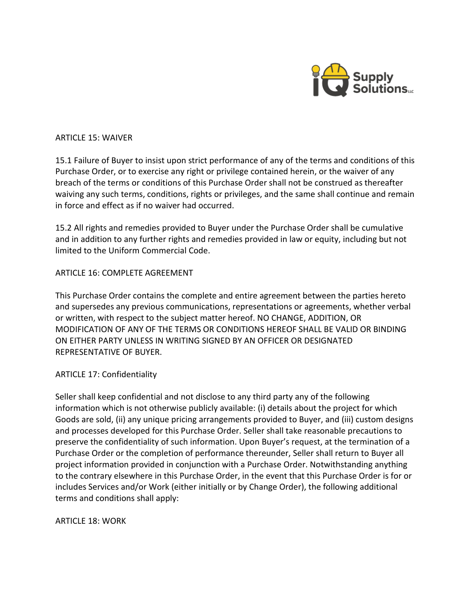

#### ARTICLE 15: WAIVER

15.1 Failure of Buyer to insist upon strict performance of any of the terms and conditions of this Purchase Order, or to exercise any right or privilege contained herein, or the waiver of any breach of the terms or conditions of this Purchase Order shall not be construed as thereafter waiving any such terms, conditions, rights or privileges, and the same shall continue and remain in force and effect as if no waiver had occurred.

15.2 All rights and remedies provided to Buyer under the Purchase Order shall be cumulative and in addition to any further rights and remedies provided in law or equity, including but not limited to the Uniform Commercial Code.

## ARTICLE 16: COMPLETE AGREEMENT

This Purchase Order contains the complete and entire agreement between the parties hereto and supersedes any previous communications, representations or agreements, whether verbal or written, with respect to the subject matter hereof. NO CHANGE, ADDITION, OR MODIFICATION OF ANY OF THE TERMS OR CONDITIONS HEREOF SHALL BE VALID OR BINDING ON EITHER PARTY UNLESS IN WRITING SIGNED BY AN OFFICER OR DESIGNATED REPRESENTATIVE OF BUYER.

#### ARTICLE 17: Confidentiality

Seller shall keep confidential and not disclose to any third party any of the following information which is not otherwise publicly available: (i) details about the project for which Goods are sold, (ii) any unique pricing arrangements provided to Buyer, and (iii) custom designs and processes developed for this Purchase Order. Seller shall take reasonable precautions to preserve the confidentiality of such information. Upon Buyer's request, at the termination of a Purchase Order or the completion of performance thereunder, Seller shall return to Buyer all project information provided in conjunction with a Purchase Order. Notwithstanding anything to the contrary elsewhere in this Purchase Order, in the event that this Purchase Order is for or includes Services and/or Work (either initially or by Change Order), the following additional terms and conditions shall apply:

ARTICLE 18: WORK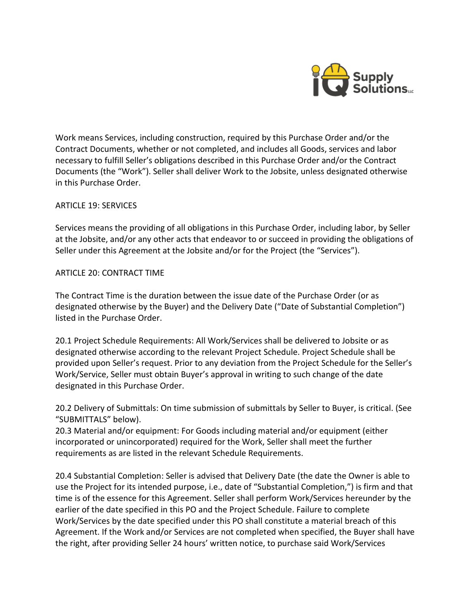

Work means Services, including construction, required by this Purchase Order and/or the Contract Documents, whether or not completed, and includes all Goods, services and labor necessary to fulfill Seller's obligations described in this Purchase Order and/or the Contract Documents (the "Work"). Seller shall deliver Work to the Jobsite, unless designated otherwise in this Purchase Order.

## ARTICLE 19: SERVICES

Services means the providing of all obligations in this Purchase Order, including labor, by Seller at the Jobsite, and/or any other acts that endeavor to or succeed in providing the obligations of Seller under this Agreement at the Jobsite and/or for the Project (the "Services").

#### ARTICLE 20: CONTRACT TIME

The Contract Time is the duration between the issue date of the Purchase Order (or as designated otherwise by the Buyer) and the Delivery Date ("Date of Substantial Completion") listed in the Purchase Order.

20.1 Project Schedule Requirements: All Work/Services shall be delivered to Jobsite or as designated otherwise according to the relevant Project Schedule. Project Schedule shall be provided upon Seller's request. Prior to any deviation from the Project Schedule for the Seller's Work/Service, Seller must obtain Buyer's approval in writing to such change of the date designated in this Purchase Order.

20.2 Delivery of Submittals: On time submission of submittals by Seller to Buyer, is critical. (See "SUBMITTALS" below).

20.3 Material and/or equipment: For Goods including material and/or equipment (either incorporated or unincorporated) required for the Work, Seller shall meet the further requirements as are listed in the relevant Schedule Requirements.

20.4 Substantial Completion: Seller is advised that Delivery Date (the date the Owner is able to use the Project for its intended purpose, i.e., date of "Substantial Completion,") is firm and that time is of the essence for this Agreement. Seller shall perform Work/Services hereunder by the earlier of the date specified in this PO and the Project Schedule. Failure to complete Work/Services by the date specified under this PO shall constitute a material breach of this Agreement. If the Work and/or Services are not completed when specified, the Buyer shall have the right, after providing Seller 24 hours' written notice, to purchase said Work/Services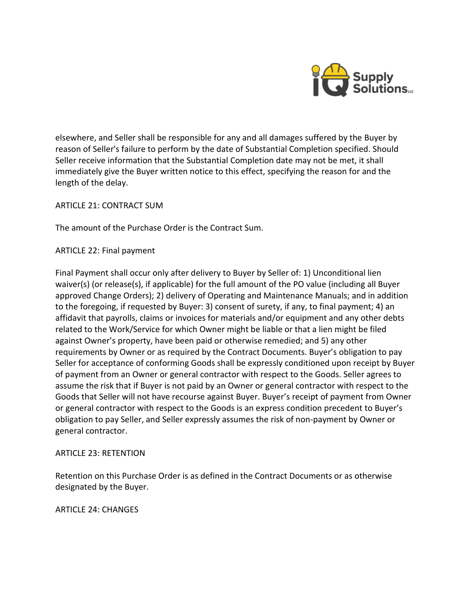

elsewhere, and Seller shall be responsible for any and all damages suffered by the Buyer by reason of Seller's failure to perform by the date of Substantial Completion specified. Should Seller receive information that the Substantial Completion date may not be met, it shall immediately give the Buyer written notice to this effect, specifying the reason for and the length of the delay.

ARTICLE 21: CONTRACT SUM

The amount of the Purchase Order is the Contract Sum.

ARTICLE 22: Final payment

Final Payment shall occur only after delivery to Buyer by Seller of: 1) Unconditional lien waiver(s) (or release(s), if applicable) for the full amount of the PO value (including all Buyer approved Change Orders); 2) delivery of Operating and Maintenance Manuals; and in addition to the foregoing, if requested by Buyer: 3) consent of surety, if any, to final payment; 4) an affidavit that payrolls, claims or invoices for materials and/or equipment and any other debts related to the Work/Service for which Owner might be liable or that a lien might be filed against Owner's property, have been paid or otherwise remedied; and 5) any other requirements by Owner or as required by the Contract Documents. Buyer's obligation to pay Seller for acceptance of conforming Goods shall be expressly conditioned upon receipt by Buyer of payment from an Owner or general contractor with respect to the Goods. Seller agrees to assume the risk that if Buyer is not paid by an Owner or general contractor with respect to the Goods that Seller will not have recourse against Buyer. Buyer's receipt of payment from Owner or general contractor with respect to the Goods is an express condition precedent to Buyer's obligation to pay Seller, and Seller expressly assumes the risk of non-payment by Owner or general contractor.

## ARTICLE 23: RETENTION

Retention on this Purchase Order is as defined in the Contract Documents or as otherwise designated by the Buyer.

ARTICLE 24: CHANGES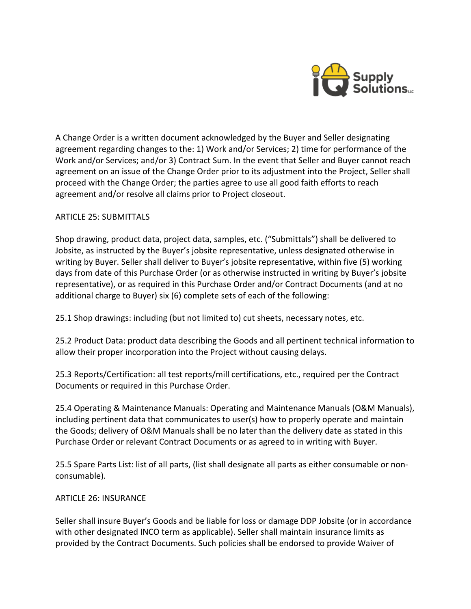

A Change Order is a written document acknowledged by the Buyer and Seller designating agreement regarding changes to the: 1) Work and/or Services; 2) time for performance of the Work and/or Services; and/or 3) Contract Sum. In the event that Seller and Buyer cannot reach agreement on an issue of the Change Order prior to its adjustment into the Project, Seller shall proceed with the Change Order; the parties agree to use all good faith efforts to reach agreement and/or resolve all claims prior to Project closeout.

## ARTICLE 25: SUBMITTALS

Shop drawing, product data, project data, samples, etc. ("Submittals") shall be delivered to Jobsite, as instructed by the Buyer's jobsite representative, unless designated otherwise in writing by Buyer. Seller shall deliver to Buyer's jobsite representative, within five (5) working days from date of this Purchase Order (or as otherwise instructed in writing by Buyer's jobsite representative), or as required in this Purchase Order and/or Contract Documents (and at no additional charge to Buyer) six (6) complete sets of each of the following:

25.1 Shop drawings: including (but not limited to) cut sheets, necessary notes, etc.

25.2 Product Data: product data describing the Goods and all pertinent technical information to allow their proper incorporation into the Project without causing delays.

25.3 Reports/Certification: all test reports/mill certifications, etc., required per the Contract Documents or required in this Purchase Order.

25.4 Operating & Maintenance Manuals: Operating and Maintenance Manuals (O&M Manuals), including pertinent data that communicates to user(s) how to properly operate and maintain the Goods; delivery of O&M Manuals shall be no later than the delivery date as stated in this Purchase Order or relevant Contract Documents or as agreed to in writing with Buyer.

25.5 Spare Parts List: list of all parts, (list shall designate all parts as either consumable or nonconsumable).

#### ARTICLE 26: INSURANCE

Seller shall insure Buyer's Goods and be liable for loss or damage DDP Jobsite (or in accordance with other designated INCO term as applicable). Seller shall maintain insurance limits as provided by the Contract Documents. Such policies shall be endorsed to provide Waiver of